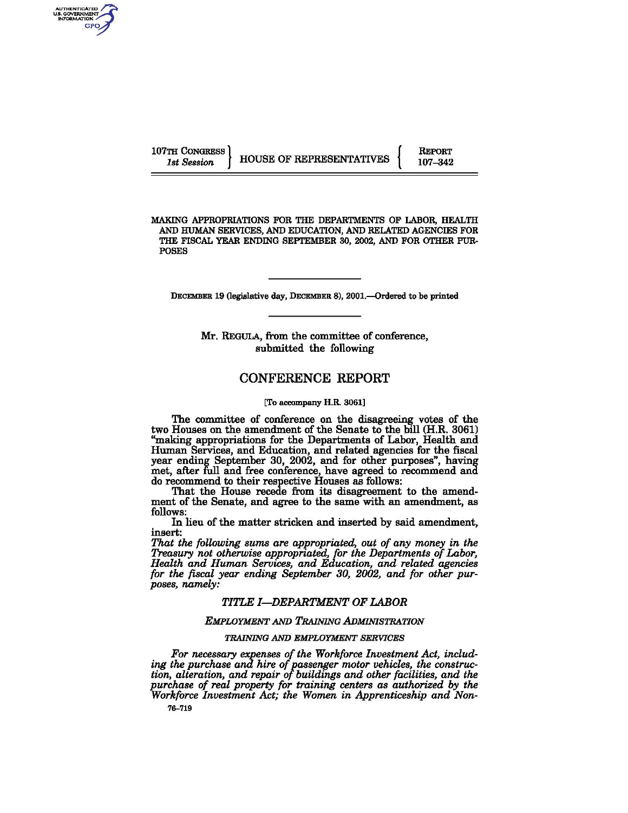AUTHENTICATED<br>US. GOVERNMENT THEORY GPO

REPORT 107-342

MAKING APPROPRIATIONS FOR THE DEPARTMENTS OF LABOR, HEALTH AND HUMAN SERVICES, AND EDUCATION, AND RELATED AGENCIES FOR THE FISCAL YEAR ENDING SEPTEMBER 30, 2002, AND FOR OTHER PUR-POSES

DECEMBER 19 (legislative day, DECEMBER 8), 2001.---Ordered to be printed

Mr. REGULA, from the committee of conference, submitted the following

## CONFERENCE REPORT

[To accompany H.R. 3061]

The committee of conference on the disagreeing votes of the two Houses on the amendment of the Senate to the bill (H.R. 3061) "making appropriations for the Departments of Labor, Health and Hwnan Services, and Education, and related agencies for the fiscal year ending September 30, 2002, and for other purposes", having met, after full and free conference, have agreed to recommend and do recommend to their respective Houses as follows:

That the House recede from its disagreement to the amendment of the Senate, and agree to the same with an amendment, as follows:

In lieu of the matter stricken and inserted by said amendment, insert:

*That the following sums are appropriated, out of any money in the Treasury not otherwise appropriated, for the Departments of Labor, Health and Human Services, and Education, and related agencies for the fiscal year ending September 30, 2002, and for other purposes, namely:* 

## *TITLE I-DEPARTMENT OF LABOR*

## *EMPLOYMENT AND TRAINING ADMINISTRATION*

## *TRAINING AND EMPLOYMENT SERVICES*

*For necessary expenses of the Workforce Investment Act, including the purchase and hire of passenger motor vehicles, the construction, alteration, and repair of buildings and other facilities, and the purchase of real property for training centers as authorized by the Workforce Investment Act; the Women in Apprenticeship and Non-*

76--719